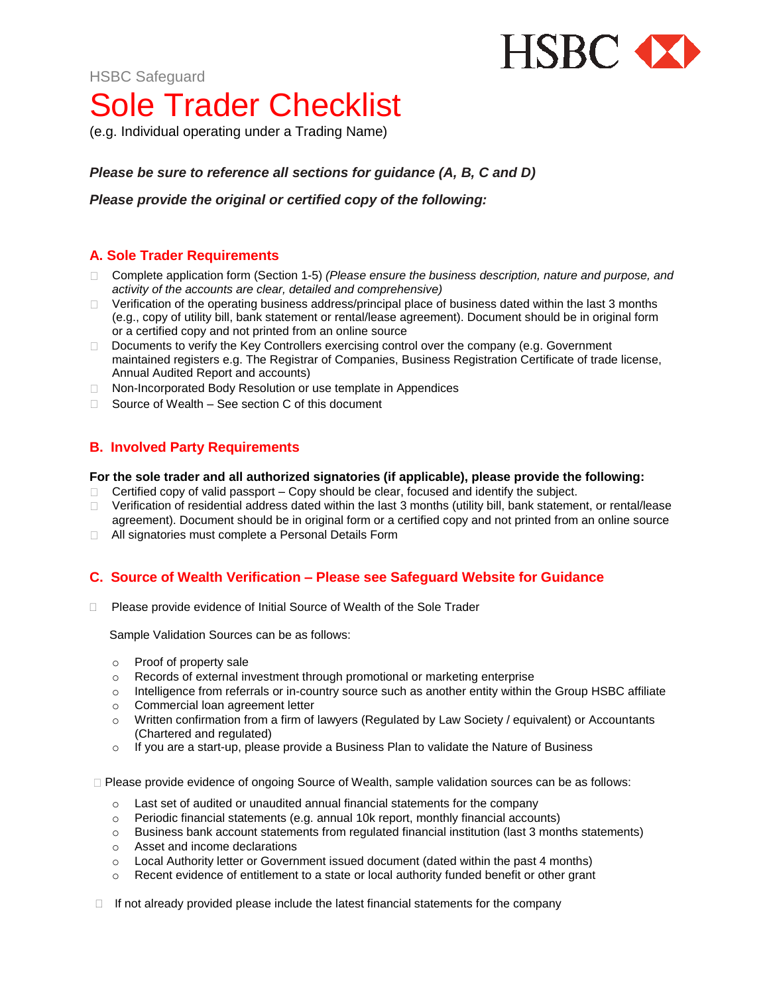

HSBC Safeguard

# Sole Trader Checklist

(e.g. Individual operating under a Trading Name)

*Please be sure to reference all sections for guidance (A, B, C and D)*

*Please provide the original or certified copy of the following:*

## **A. Sole Trader Requirements**

- □ Complete application form (Section 1-5) *(Please ensure the business description, nature and purpose, and activity of the accounts are clear, detailed and comprehensive)*
- Verification of the operating business address/principal place of business dated within the last 3 months  $\Box$ (e.g., copy of utility bill, bank statement or rental/lease agreement). Document should be in original form or a certified copy and not printed from an online source
- D Documents to verify the Key Controllers exercising control over the company (e.g. Government maintained registers e.g. The Registrar of Companies, Business Registration Certificate of trade license, Annual Audited Report and accounts)
- □ Non-Incorporated Body Resolution or use template in Appendices
- $\Box$  Source of Wealth See section C of this document

## **B. Involved Party Requirements**

#### **For the sole trader and all authorized signatories (if applicable), please provide the following:**

- $\Box$  Certified copy of valid passport Copy should be clear, focused and identify the subject.
- Verification of residential address dated within the last 3 months (utility bill, bank statement, or rental/lease  $\Box$ agreement). Document should be in original form or a certified copy and not printed from an online source
- □ All signatories must complete a Personal Details Form

## **C. Source of Wealth Verification – Please see Safeguard Website for Guidance**

□ Please provide evidence of Initial Source of Wealth of the Sole Trader

Sample Validation Sources can be as follows:

- o Proof of property sale
- o Records of external investment through promotional or marketing enterprise
- o Intelligence from referrals or in-country source such as another entity within the Group HSBC affiliate
- o Commercial loan agreement letter
- o Written confirmation from a firm of lawyers (Regulated by Law Society / equivalent) or Accountants (Chartered and regulated)
- $\circ$  If you are a start-up, please provide a Business Plan to validate the Nature of Business

□ Please provide evidence of ongoing Source of Wealth, sample validation sources can be as follows:

- o Last set of audited or unaudited annual financial statements for the company
- $\circ$  Periodic financial statements (e.g. annual 10k report, monthly financial accounts)
- $\circ$  Business bank account statements from regulated financial institution (last 3 months statements)
- o Asset and income declarations
- $\circ$  Local Authority letter or Government issued document (dated within the past 4 months)
- $\circ$  Recent evidence of entitlement to a state or local authority funded benefit or other grant

 $\Box$  If not already provided please include the latest financial statements for the company